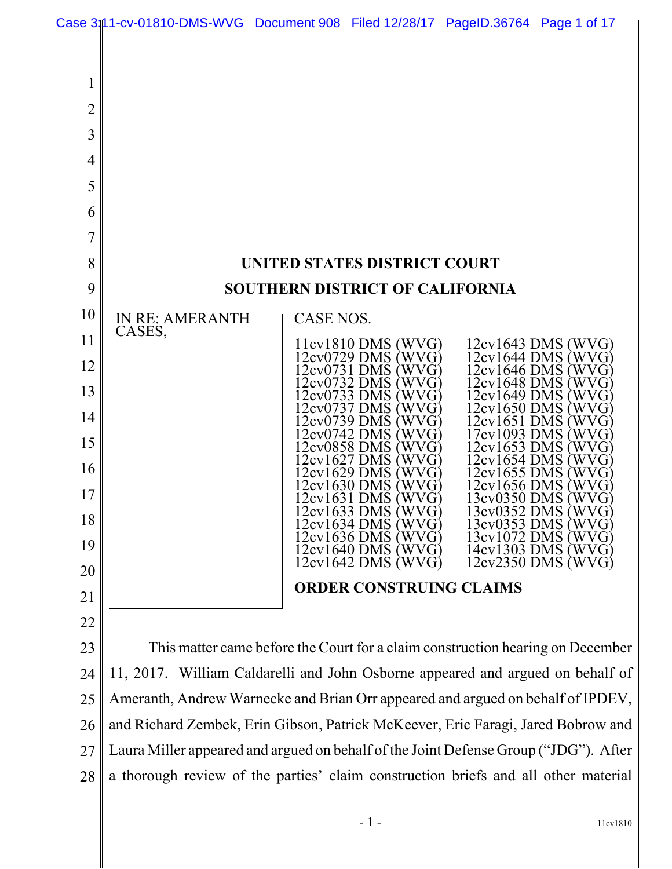

28 a thorough review of the parties' claim construction briefs and all other material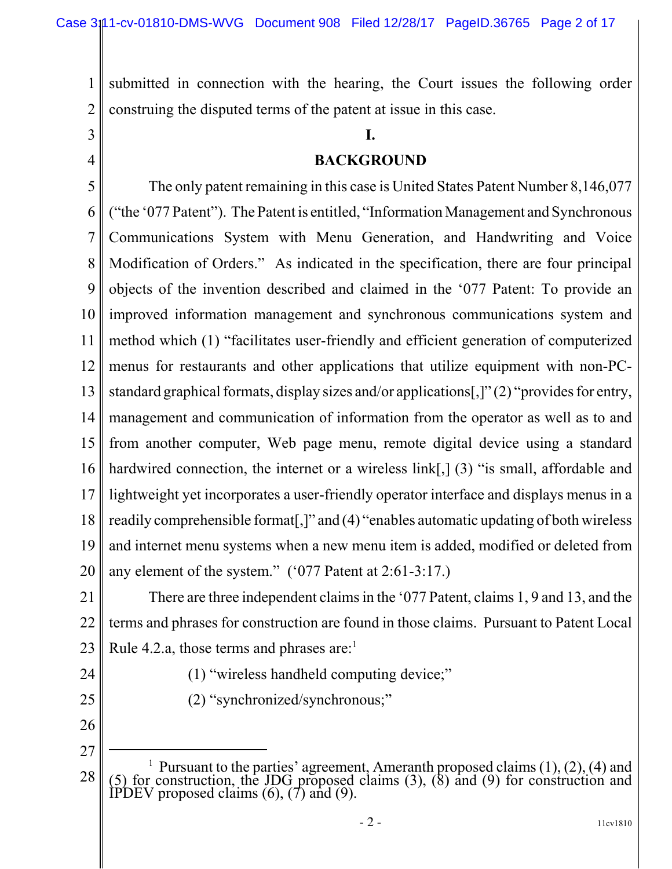submitted in connection with the hearing, the Court issues the following order construing the disputed terms of the patent at issue in this case.

3 4

1

2

# **I. BACKGROUND**

5 6 7 8 9 10 11 12 13 14 15 16 17 18 19 20 The only patent remaining in this case is United States Patent Number 8,146,077 ("the '077 Patent"). The Patent is entitled, "Information Management and Synchronous Communications System with Menu Generation, and Handwriting and Voice Modification of Orders." As indicated in the specification, there are four principal objects of the invention described and claimed in the '077 Patent: To provide an improved information management and synchronous communications system and method which (1) "facilitates user-friendly and efficient generation of computerized menus for restaurants and other applications that utilize equipment with non-PCstandard graphical formats, display sizes and/or applications[,]" (2) "provides for entry, management and communication of information from the operator as well as to and from another computer, Web page menu, remote digital device using a standard hardwired connection, the internet or a wireless link[,] (3) "is small, affordable and lightweight yet incorporates a user-friendly operator interface and displays menus in a readily comprehensible format[,]" and (4) "enables automatic updating of both wireless and internet menu systems when a new menu item is added, modified or deleted from any element of the system." ('077 Patent at 2:61-3:17.)

21 22 23 There are three independent claims in the '077 Patent, claims 1, 9 and 13, and the terms and phrases for construction are found in those claims. Pursuant to Patent Local Rule 4.2.a, those terms and phrases are: $<sup>1</sup>$ </sup>

(1) "wireless handheld computing device;"

(2) "synchronized/synchronous;"

- 24
- 25
- 26 27

<sup>28</sup> <sup>1</sup> Pursuant to the parties' agreement, Ameranth proposed claims (1), (2), (4) and (5) for construction, the JDG proposed claims (3), (8) and (9) for construction and IPDEV proposed claims  $(6)$ ,  $(7)$  and  $(9)$ .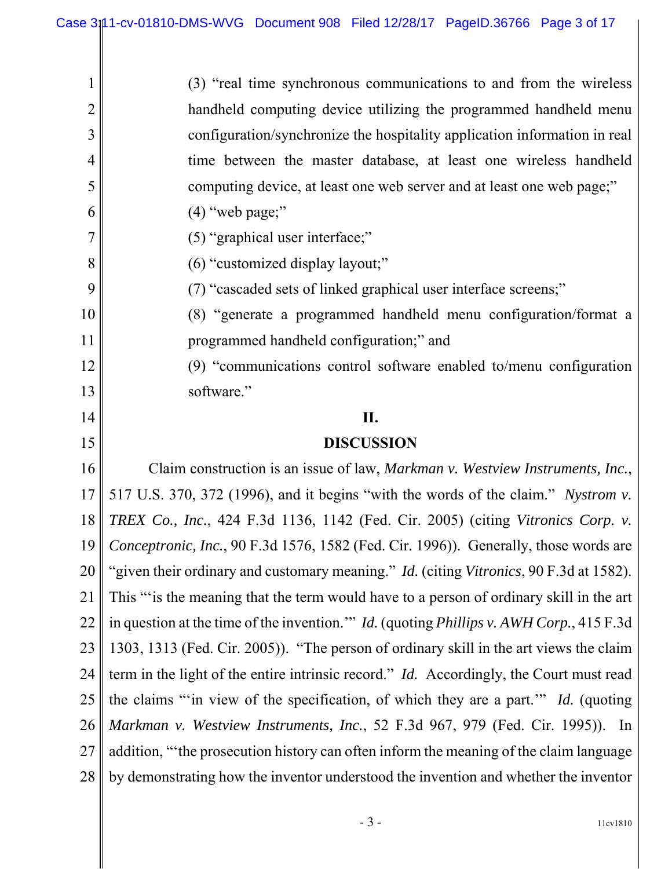| $\mathbf 1$    | (3) "real time synchronous communications to and from the wireless                                     |
|----------------|--------------------------------------------------------------------------------------------------------|
| $\overline{2}$ | handheld computing device utilizing the programmed handheld menu                                       |
| 3              | configuration/synchronize the hospitality application information in real                              |
| 4              | time between the master database, at least one wireless handheld                                       |
| 5              | computing device, at least one web server and at least one web page;"                                  |
| 6              | $(4)$ "web page;"                                                                                      |
| 7              | (5) "graphical user interface;"                                                                        |
| 8              | (6) "customized display layout;"                                                                       |
| 9              | (7) "cascaded sets of linked graphical user interface screens;"                                        |
| 10             | (8) "generate a programmed handheld menu configuration/format a                                        |
| 11             | programmed handheld configuration;" and                                                                |
| 12             | (9) "communications control software enabled to/menu configuration                                     |
| 13             | software."                                                                                             |
| 14             | II.                                                                                                    |
|                |                                                                                                        |
| 15             | <b>DISCUSSION</b>                                                                                      |
| 16             | Claim construction is an issue of law, Markman v. Westview Instruments, Inc.,                          |
| 17             | 517 U.S. 370, 372 (1996), and it begins "with the words of the claim." Nystrom v.                      |
| 18             | TREX Co., Inc., 424 F.3d 1136, 1142 (Fed. Cir. 2005) (citing Vitronics Corp. v.                        |
| 19             | Conceptronic, Inc., 90 F.3d 1576, 1582 (Fed. Cir. 1996)). Generally, those words are                   |
| 20             | "given their ordinary and customary meaning." <i>Id.</i> (citing Vitronics, 90 F.3d at 1582).          |
| 21             | This "is the meaning that the term would have to a person of ordinary skill in the art                 |
| 22             | in question at the time of the invention." <i>Id.</i> (quoting <i>Phillips v. AWH Corp.</i> , 415 F.3d |
| 23             | 1303, 1313 (Fed. Cir. 2005)). "The person of ordinary skill in the art views the claim                 |
| 24             | term in the light of the entire intrinsic record." Id. Accordingly, the Court must read                |
| 25             | the claims "in view of the specification, of which they are a part." Id. (quoting                      |
| 26             | Markman v. Westview Instruments, Inc., 52 F.3d 967, 979 (Fed. Cir. 1995)). In                          |
| 27             | addition, "the prosecution history can often inform the meaning of the claim language                  |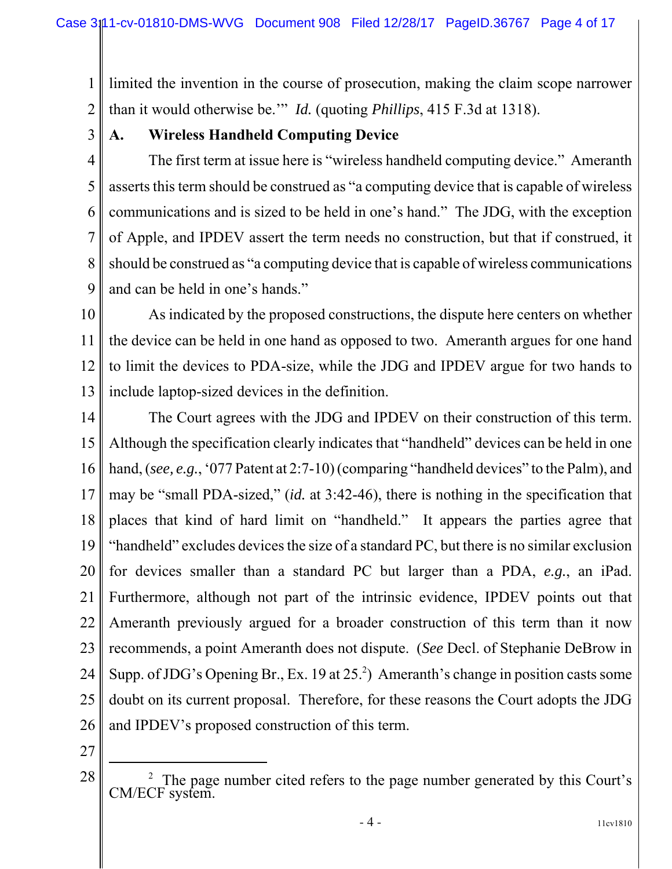1 2 limited the invention in the course of prosecution, making the claim scope narrower than it would otherwise be.'" *Id.* (quoting *Phillips*, 415 F.3d at 1318).

3

## **A. Wireless Handheld Computing Device**

4 5 6 7 8 9 The first term at issue here is "wireless handheld computing device." Ameranth asserts this term should be construed as "a computing device that is capable of wireless communications and is sized to be held in one's hand." The JDG, with the exception of Apple, and IPDEV assert the term needs no construction, but that if construed, it should be construed as "a computing device that is capable of wireless communications and can be held in one's hands."

10 11 12 13 As indicated by the proposed constructions, the dispute here centers on whether the device can be held in one hand as opposed to two. Ameranth argues for one hand to limit the devices to PDA-size, while the JDG and IPDEV argue for two hands to include laptop-sized devices in the definition.

14 15 16 17 18 19 20 21 22 23 24 25 26 The Court agrees with the JDG and IPDEV on their construction of this term. Although the specification clearly indicates that "handheld" devices can be held in one hand, (*see, e.g.*, '077 Patent at 2:7-10) (comparing "handheld devices" to the Palm), and may be "small PDA-sized," (*id.* at 3:42-46), there is nothing in the specification that places that kind of hard limit on "handheld." It appears the parties agree that "handheld" excludes devices the size of a standard PC, but there is no similar exclusion for devices smaller than a standard PC but larger than a PDA, *e.g.*, an iPad. Furthermore, although not part of the intrinsic evidence, IPDEV points out that Ameranth previously argued for a broader construction of this term than it now recommends, a point Ameranth does not dispute. (*See* Decl. of Stephanie DeBrow in Supp. of JDG's Opening Br., Ex. 19 at  $25<sup>2</sup>$ ) Ameranth's change in position casts some doubt on its current proposal. Therefore, for these reasons the Court adopts the JDG and IPDEV's proposed construction of this term.

27

<sup>28</sup> <sup>2</sup> The page number cited refers to the page number generated by this Court's CM/ECF system.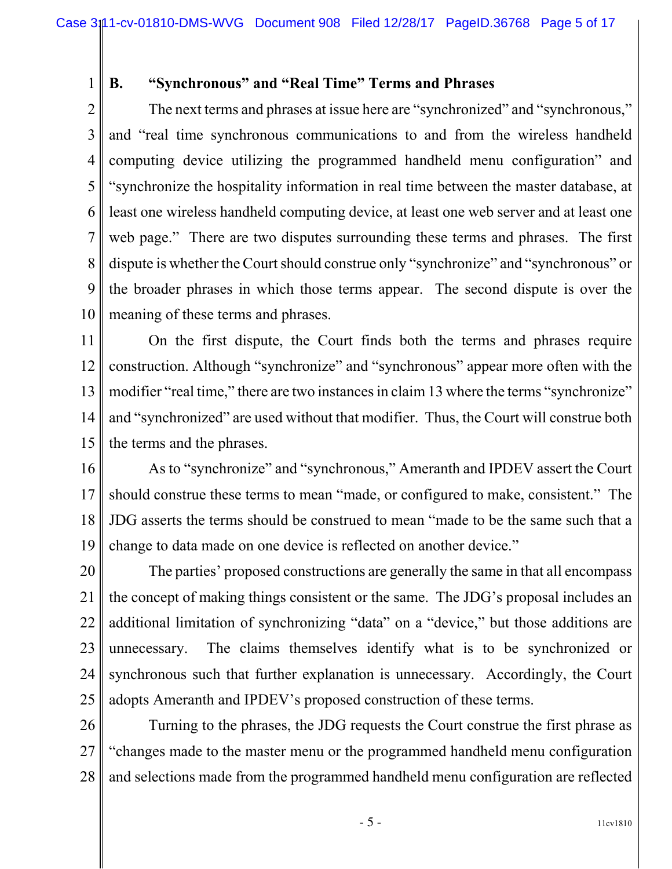1

## **B. "Synchronous" and "Real Time" Terms and Phrases**

2 3 4 5 6 7 8 9 10 The next terms and phrases at issue here are "synchronized" and "synchronous," and "real time synchronous communications to and from the wireless handheld computing device utilizing the programmed handheld menu configuration" and "synchronize the hospitality information in real time between the master database, at least one wireless handheld computing device, at least one web server and at least one web page." There are two disputes surrounding these terms and phrases. The first dispute is whether the Court should construe only "synchronize" and "synchronous" or the broader phrases in which those terms appear. The second dispute is over the meaning of these terms and phrases.

11 12 13 14 15 On the first dispute, the Court finds both the terms and phrases require construction. Although "synchronize" and "synchronous" appear more often with the modifier "real time," there are two instances in claim 13 where the terms "synchronize" and "synchronized" are used without that modifier. Thus, the Court will construe both the terms and the phrases.

16 17 18 19 As to "synchronize" and "synchronous," Ameranth and IPDEV assert the Court should construe these terms to mean "made, or configured to make, consistent." The JDG asserts the terms should be construed to mean "made to be the same such that a change to data made on one device is reflected on another device."

20 21 22 23 24 25 The parties' proposed constructions are generally the same in that all encompass the concept of making things consistent or the same. The JDG's proposal includes an additional limitation of synchronizing "data" on a "device," but those additions are unnecessary. The claims themselves identify what is to be synchronized or synchronous such that further explanation is unnecessary. Accordingly, the Court adopts Ameranth and IPDEV's proposed construction of these terms.

26 27 28 Turning to the phrases, the JDG requests the Court construe the first phrase as "changes made to the master menu or the programmed handheld menu configuration and selections made from the programmed handheld menu configuration are reflected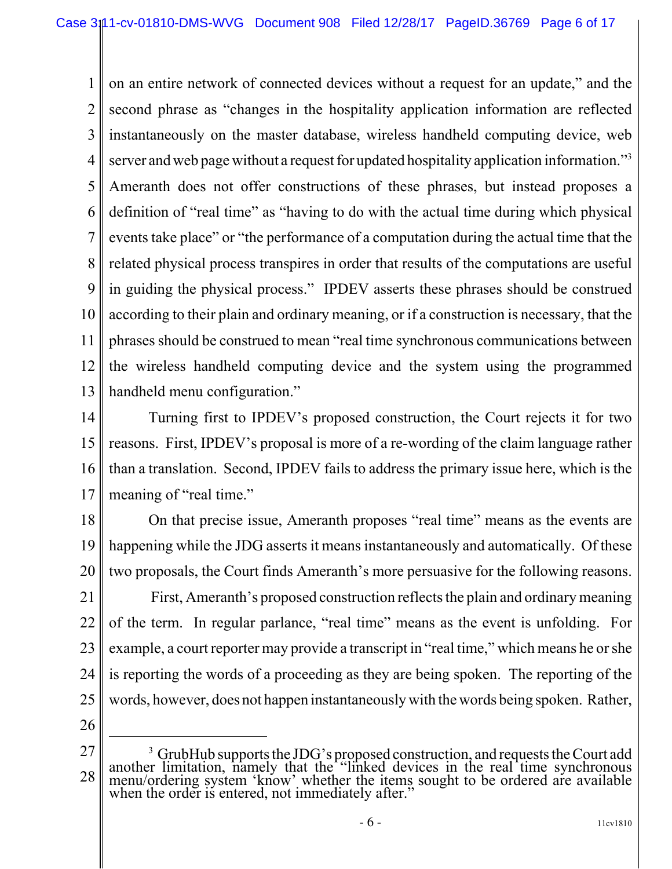1 2 3 4 5 6 7 8 9 10 11 12 13 on an entire network of connected devices without a request for an update," and the second phrase as "changes in the hospitality application information are reflected instantaneously on the master database, wireless handheld computing device, web server and web page without a request for updated hospitality application information."<sup>3</sup> Ameranth does not offer constructions of these phrases, but instead proposes a definition of "real time" as "having to do with the actual time during which physical events take place" or "the performance of a computation during the actual time that the related physical process transpires in order that results of the computations are useful in guiding the physical process." IPDEV asserts these phrases should be construed according to their plain and ordinary meaning, or if a construction is necessary, that the phrases should be construed to mean "real time synchronous communications between the wireless handheld computing device and the system using the programmed handheld menu configuration."

14 15 16 17 Turning first to IPDEV's proposed construction, the Court rejects it for two reasons. First, IPDEV's proposal is more of a re-wording of the claim language rather than a translation. Second, IPDEV fails to address the primary issue here, which is the meaning of "real time."

18 19 20 21 22 23 24 25 On that precise issue, Ameranth proposes "real time" means as the events are happening while the JDG asserts it means instantaneously and automatically. Of these two proposals, the Court finds Ameranth's more persuasive for the following reasons. First, Ameranth's proposed construction reflects the plain and ordinary meaning of the term. In regular parlance, "real time" means as the event is unfolding. For example, a court reporter may provide a transcript in "real time," which means he or she is reporting the words of a proceeding as they are being spoken. The reporting of the words, however, does not happen instantaneously with the words being spoken. Rather,

26

<sup>27</sup> 28 <sup>3</sup> GrubHub supports the JDG's proposed construction, and requests the Court add another limitation, namely that the "linked devices in the real time synchronous menu/ordering system 'know' whether the items sought to be ordered are available when the order is entered, not immediately after."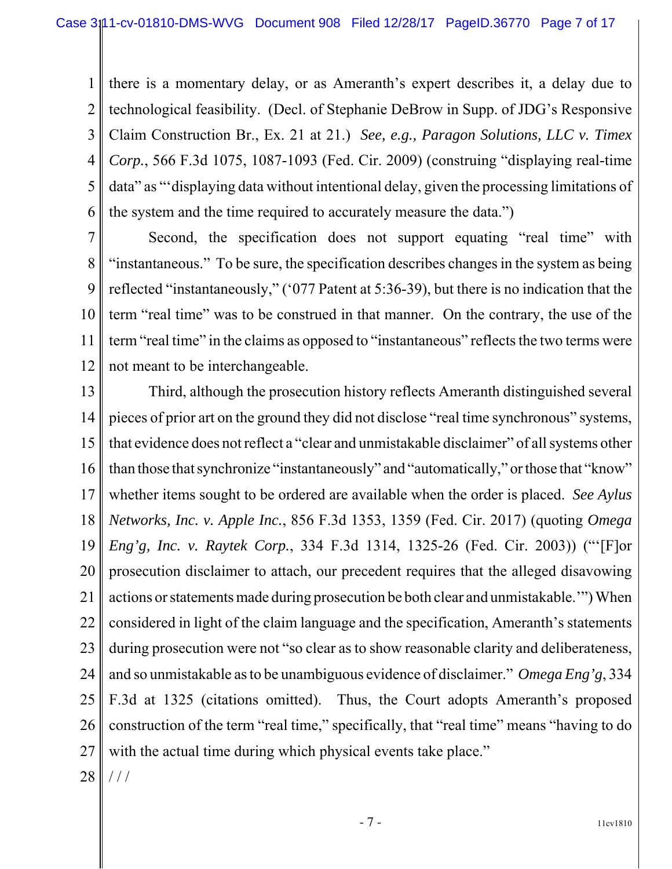1 2 3 4 5 6 there is a momentary delay, or as Ameranth's expert describes it, a delay due to technological feasibility. (Decl. of Stephanie DeBrow in Supp. of JDG's Responsive Claim Construction Br., Ex. 21 at 21.) *See, e.g., Paragon Solutions, LLC v. Timex Corp.*, 566 F.3d 1075, 1087-1093 (Fed. Cir. 2009) (construing "displaying real-time data" as "'displaying data without intentional delay, given the processing limitations of the system and the time required to accurately measure the data.")

7 8 9 10 11 12 Second, the specification does not support equating "real time" with "instantaneous." To be sure, the specification describes changes in the system as being reflected "instantaneously," ('077 Patent at 5:36-39), but there is no indication that the term "real time" was to be construed in that manner. On the contrary, the use of the term "real time" in the claims as opposed to "instantaneous" reflects the two terms were not meant to be interchangeable.

13 14 15 16 17 18 19 20 21 22 23 24 25 26 27 Third, although the prosecution history reflects Ameranth distinguished several pieces of prior art on the ground they did not disclose "real time synchronous" systems, that evidence does not reflect a "clear and unmistakable disclaimer" of all systems other than those that synchronize "instantaneously" and "automatically," or those that "know" whether items sought to be ordered are available when the order is placed. *See Aylus Networks, Inc. v. Apple Inc.*, 856 F.3d 1353, 1359 (Fed. Cir. 2017) (quoting *Omega Eng'g, Inc. v. Raytek Corp.*, 334 F.3d 1314, 1325-26 (Fed. Cir. 2003)) ("'[F]or prosecution disclaimer to attach, our precedent requires that the alleged disavowing actions or statements made during prosecution be both clear and unmistakable.'") When considered in light of the claim language and the specification, Ameranth's statements during prosecution were not "so clear as to show reasonable clarity and deliberateness, and so unmistakable as to be unambiguous evidence of disclaimer." *Omega Eng'g*, 334 F.3d at 1325 (citations omitted). Thus, the Court adopts Ameranth's proposed construction of the term "real time," specifically, that "real time" means "having to do with the actual time during which physical events take place."

28  $/ /$ 

- 7 - 11cv1810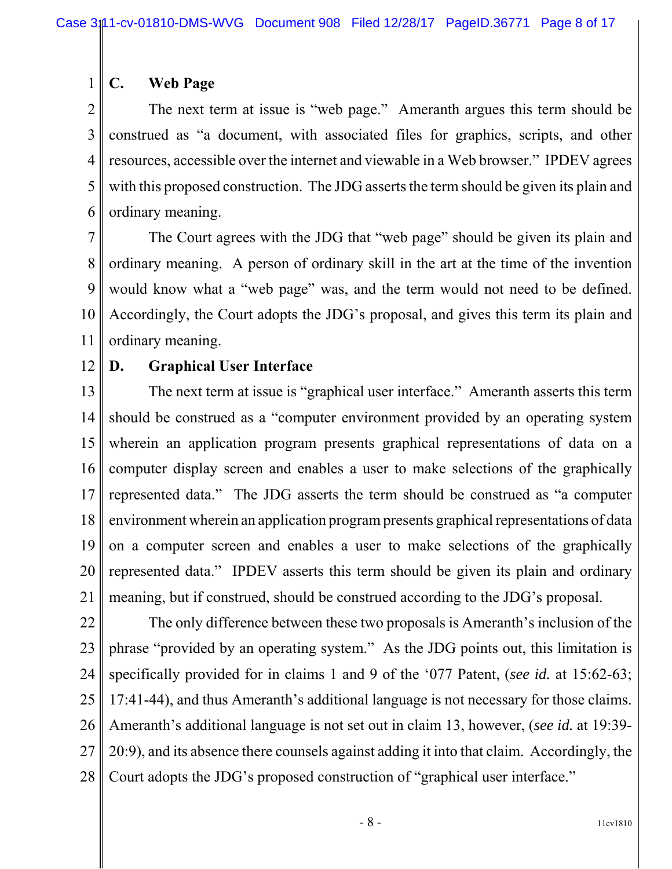#### **C. Web Page**

2 3 4 5 6 The next term at issue is "web page." Ameranth argues this term should be construed as "a document, with associated files for graphics, scripts, and other resources, accessible over the internet and viewable in a Web browser." IPDEV agrees with this proposed construction. The JDG asserts the term should be given its plain and ordinary meaning.

7 8 9 10 11 The Court agrees with the JDG that "web page" should be given its plain and ordinary meaning. A person of ordinary skill in the art at the time of the invention would know what a "web page" was, and the term would not need to be defined. Accordingly, the Court adopts the JDG's proposal, and gives this term its plain and ordinary meaning.

12

1

#### **D. Graphical User Interface**

13 14 15 16 17 18 19 20 21 The next term at issue is "graphical user interface." Ameranth asserts this term should be construed as a "computer environment provided by an operating system wherein an application program presents graphical representations of data on a computer display screen and enables a user to make selections of the graphically represented data." The JDG asserts the term should be construed as "a computer environment wherein an application program presents graphical representations of data on a computer screen and enables a user to make selections of the graphically represented data." IPDEV asserts this term should be given its plain and ordinary meaning, but if construed, should be construed according to the JDG's proposal.

22 23 24 25 26 27 28 The only difference between these two proposals is Ameranth's inclusion of the phrase "provided by an operating system." As the JDG points out, this limitation is specifically provided for in claims 1 and 9 of the '077 Patent, (*see id.* at 15:62-63; 17:41-44), and thus Ameranth's additional language is not necessary for those claims. Ameranth's additional language is not set out in claim 13, however, (*see id.* at 19:39- 20:9), and its absence there counsels against adding it into that claim. Accordingly, the Court adopts the JDG's proposed construction of "graphical user interface."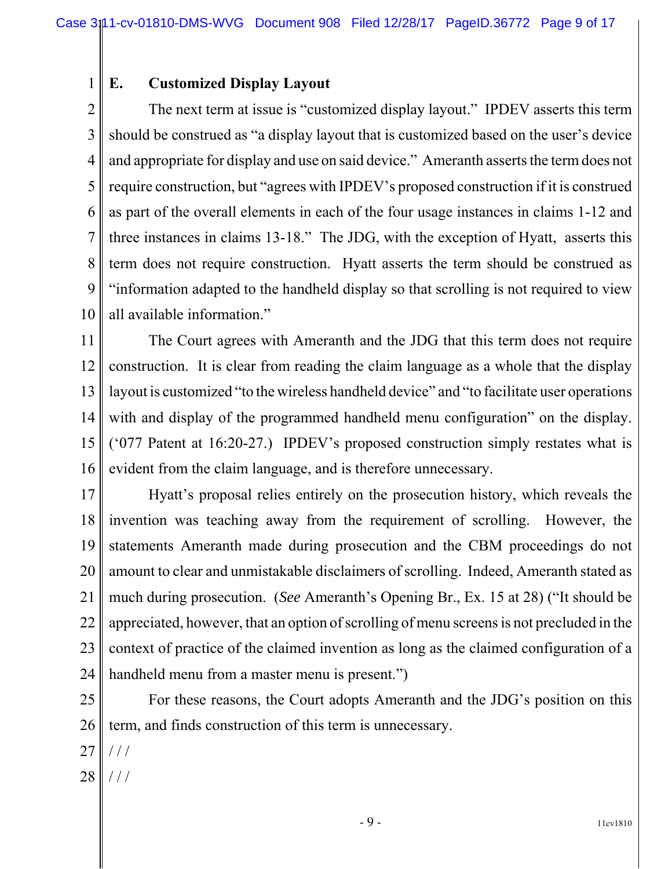#### **E. Customized Display Layout**

1

2 3 4 5 6 7 8 9 10 The next term at issue is "customized display layout." IPDEV asserts this term should be construed as "a display layout that is customized based on the user's device and appropriate for display and use on said device." Ameranth asserts the term does not require construction, but "agrees with IPDEV's proposed construction if it is construed as part of the overall elements in each of the four usage instances in claims 1-12 and three instances in claims 13-18." The JDG, with the exception of Hyatt, asserts this term does not require construction. Hyatt asserts the term should be construed as "information adapted to the handheld display so that scrolling is not required to view all available information."

11 12 13 14 15 16 The Court agrees with Ameranth and the JDG that this term does not require construction. It is clear from reading the claim language as a whole that the display layout is customized "to the wireless handheld device" and "to facilitate user operations with and display of the programmed handheld menu configuration" on the display. ('077 Patent at 16:20-27.) IPDEV's proposed construction simply restates what is evident from the claim language, and is therefore unnecessary.

17 18 19 20 21 22 23 24 Hyatt's proposal relies entirely on the prosecution history, which reveals the invention was teaching away from the requirement of scrolling. However, the statements Ameranth made during prosecution and the CBM proceedings do not amount to clear and unmistakable disclaimers of scrolling. Indeed, Ameranth stated as much during prosecution. (*See* Ameranth's Opening Br., Ex. 15 at 28) ("It should be appreciated, however, that an option of scrolling of menu screens is not precluded in the context of practice of the claimed invention as long as the claimed configuration of a handheld menu from a master menu is present.")

25 26 For these reasons, the Court adopts Ameranth and the JDG's position on this term, and finds construction of this term is unnecessary.

27  $//$ 

28 / / /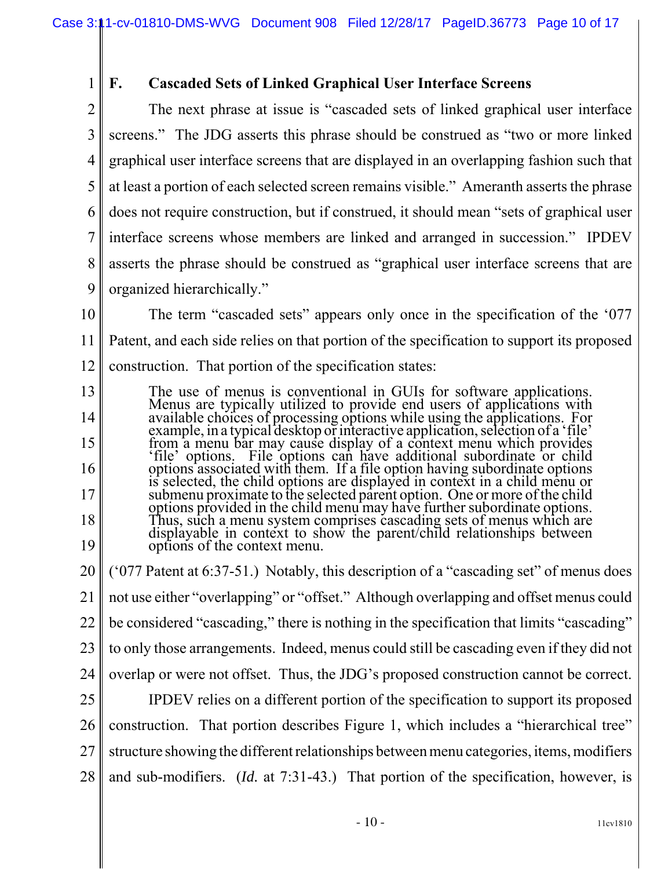1 2

# **F. Cascaded Sets of Linked Graphical User Interface Screens**

3 4 5 6 7 8 9 The next phrase at issue is "cascaded sets of linked graphical user interface screens." The JDG asserts this phrase should be construed as "two or more linked graphical user interface screens that are displayed in an overlapping fashion such that at least a portion of each selected screen remains visible." Ameranth asserts the phrase does not require construction, but if construed, it should mean "sets of graphical user interface screens whose members are linked and arranged in succession." IPDEV asserts the phrase should be construed as "graphical user interface screens that are organized hierarchically."

- 10 11 12 The term "cascaded sets" appears only once in the specification of the '077 Patent, and each side relies on that portion of the specification to support its proposed construction. That portion of the specification states:
- 13 14 15 16 17 18 19 The use of menus is conventional in GUIs for software applications. Menus are typically utilized to provide end users of applications with available choices of processing options while using the applications. For example, in a typical desktop or interactive application, selection of a 'file' from a menu bar may cause display of a context menu which provides 'file' options. File options can have additional subordinate or child options associated with them. If a file option having subordinate options is selected, the child options are displayed in context in a child menu or submenu proximate to the selected parent option. One or more of the child<br>options provided in the child menu may have further subordinate options. options provided in the child menu may have further subordinate options. Thus, such a menu system comprises cascading sets of menus which are displayable in context to show the parent/child relationships between options of the context menu.
- 20 21 22 23 24 25 26 27 28 ('077 Patent at 6:37-51.) Notably, this description of a "cascading set" of menus does not use either "overlapping" or "offset." Although overlapping and offset menus could be considered "cascading," there is nothing in the specification that limits "cascading" to only those arrangements. Indeed, menus could still be cascading even if they did not overlap or were not offset. Thus, the JDG's proposed construction cannot be correct. IPDEV relies on a different portion of the specification to support its proposed construction. That portion describes Figure 1, which includes a "hierarchical tree" structure showing the different relationships between menu categories, items, modifiers and sub-modifiers. (*Id.* at 7:31-43.) That portion of the specification, however, is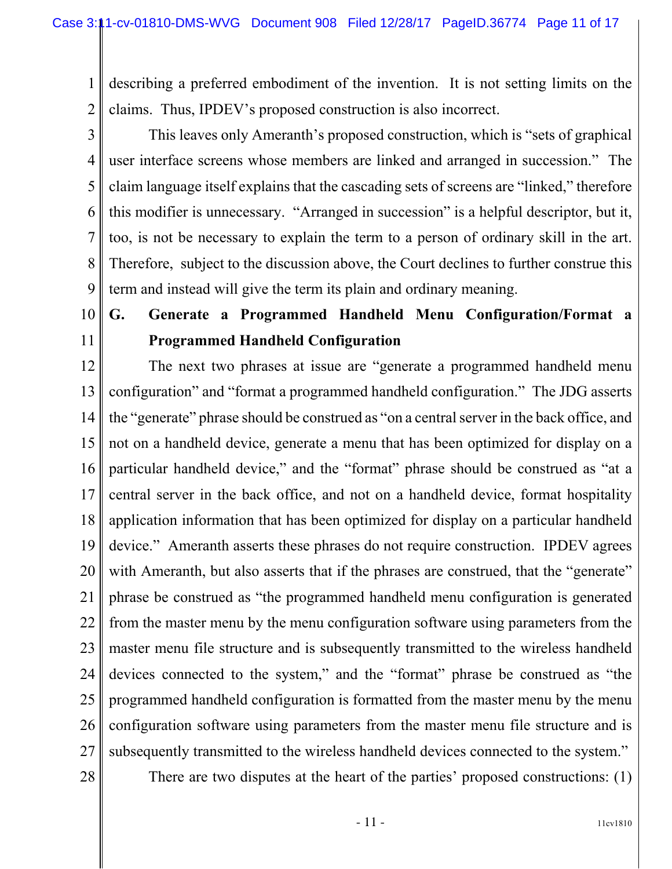1 2 describing a preferred embodiment of the invention. It is not setting limits on the claims. Thus, IPDEV's proposed construction is also incorrect.

3 4 5 6 7 8 9 This leaves only Ameranth's proposed construction, which is "sets of graphical user interface screens whose members are linked and arranged in succession." The claim language itself explains that the cascading sets of screens are "linked," therefore this modifier is unnecessary. "Arranged in succession" is a helpful descriptor, but it, too, is not be necessary to explain the term to a person of ordinary skill in the art. Therefore, subject to the discussion above, the Court declines to further construe this term and instead will give the term its plain and ordinary meaning.

# 10 11

# **G. Generate a Programmed Handheld Menu Configuration/Format a Programmed Handheld Configuration**

12 13 14 15 16 17 18 19 20 21 22 23 24 25 26 27 28 The next two phrases at issue are "generate a programmed handheld menu configuration" and "format a programmed handheld configuration." The JDG asserts the "generate" phrase should be construed as "on a central server in the back office, and not on a handheld device, generate a menu that has been optimized for display on a particular handheld device," and the "format" phrase should be construed as "at a central server in the back office, and not on a handheld device, format hospitality application information that has been optimized for display on a particular handheld device." Ameranth asserts these phrases do not require construction. IPDEV agrees with Ameranth, but also asserts that if the phrases are construed, that the "generate" phrase be construed as "the programmed handheld menu configuration is generated from the master menu by the menu configuration software using parameters from the master menu file structure and is subsequently transmitted to the wireless handheld devices connected to the system," and the "format" phrase be construed as "the programmed handheld configuration is formatted from the master menu by the menu configuration software using parameters from the master menu file structure and is subsequently transmitted to the wireless handheld devices connected to the system."

There are two disputes at the heart of the parties' proposed constructions: (1)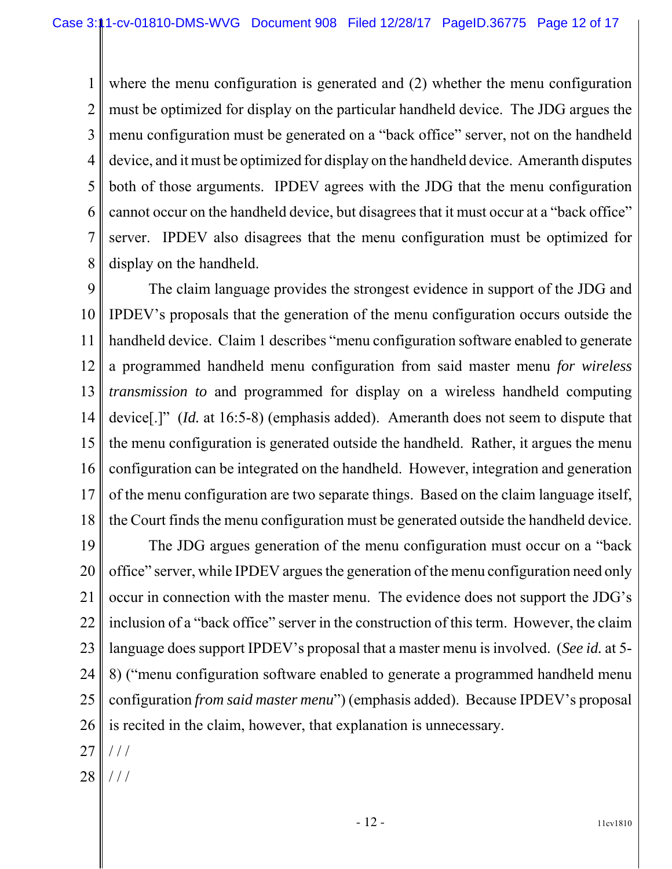1 2 3 4 5 6 7 8 where the menu configuration is generated and (2) whether the menu configuration must be optimized for display on the particular handheld device. The JDG argues the menu configuration must be generated on a "back office" server, not on the handheld device, and it must be optimized for display on the handheld device. Ameranth disputes both of those arguments. IPDEV agrees with the JDG that the menu configuration cannot occur on the handheld device, but disagrees that it must occur at a "back office" server. IPDEV also disagrees that the menu configuration must be optimized for display on the handheld.

9 10 11 12 13 14 15 16 17 18 The claim language provides the strongest evidence in support of the JDG and IPDEV's proposals that the generation of the menu configuration occurs outside the handheld device. Claim 1 describes "menu configuration software enabled to generate a programmed handheld menu configuration from said master menu *for wireless transmission to* and programmed for display on a wireless handheld computing device[.]" (*Id.* at 16:5-8) (emphasis added). Ameranth does not seem to dispute that the menu configuration is generated outside the handheld. Rather, it argues the menu configuration can be integrated on the handheld. However, integration and generation of the menu configuration are two separate things. Based on the claim language itself, the Court finds the menu configuration must be generated outside the handheld device.

19 20 21 22 23 24 25 26 27 The JDG argues generation of the menu configuration must occur on a "back office" server, while IPDEV argues the generation of the menu configuration need only occur in connection with the master menu. The evidence does not support the JDG's inclusion of a "back office" server in the construction of this term. However, the claim language does support IPDEV's proposal that a master menu is involved. (*See id.* at 5- 8) ("menu configuration software enabled to generate a programmed handheld menu configuration *from said master menu*") (emphasis added). Because IPDEV's proposal is recited in the claim, however, that explanation is unnecessary.  $//$ 

28 / / /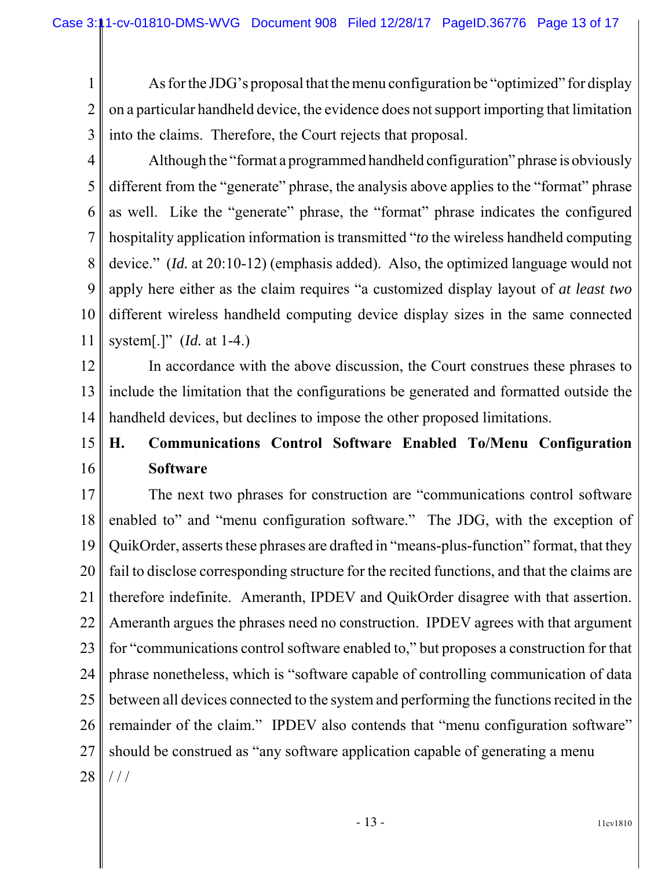1 2 As for the JDG's proposal that the menu configuration be "optimized" for display on a particular handheld device, the evidence does not support importing that limitation into the claims. Therefore, the Court rejects that proposal.

3 4

5 6 7 8 9 10 11 Although the "format a programmed handheld configuration" phrase is obviously different from the "generate" phrase, the analysis above applies to the "format" phrase as well. Like the "generate" phrase, the "format" phrase indicates the configured hospitality application information is transmitted "*to* the wireless handheld computing device." (*Id.* at 20:10-12) (emphasis added). Also, the optimized language would not apply here either as the claim requires "a customized display layout of *at least two* different wireless handheld computing device display sizes in the same connected system[.]" (*Id.* at 1-4.)

12 13 14 In accordance with the above discussion, the Court construes these phrases to include the limitation that the configurations be generated and formatted outside the handheld devices, but declines to impose the other proposed limitations.

#### 15 16 **H. Communications Control Software Enabled To/Menu Configuration Software**

17 18 19 20 21 22 23 24 25 26 27 28 The next two phrases for construction are "communications control software enabled to" and "menu configuration software." The JDG, with the exception of QuikOrder, asserts these phrases are drafted in "means-plus-function" format, that they fail to disclose corresponding structure for the recited functions, and that the claims are therefore indefinite. Ameranth, IPDEV and QuikOrder disagree with that assertion. Ameranth argues the phrases need no construction. IPDEV agrees with that argument for "communications control software enabled to," but proposes a construction for that phrase nonetheless, which is "software capable of controlling communication of data between all devices connected to the system and performing the functions recited in the remainder of the claim." IPDEV also contends that "menu configuration software" should be construed as "any software application capable of generating a menu / / /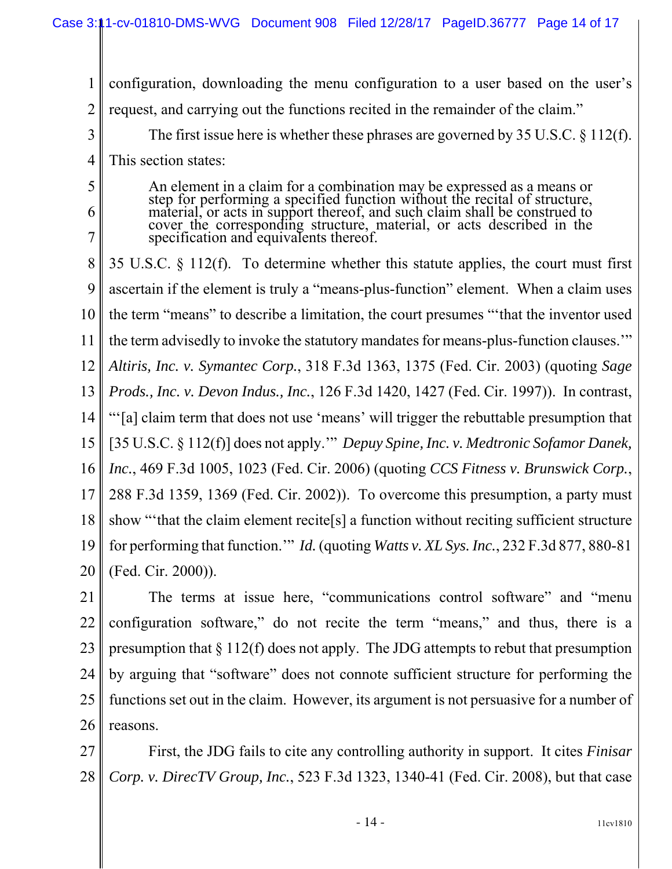1 2 3 4 5 6 7 8 9 10 11 12 13 14 15 16 17 18 19 configuration, downloading the menu configuration to a user based on the user's request, and carrying out the functions recited in the remainder of the claim." The first issue here is whether these phrases are governed by 35 U.S.C. § 112(f). This section states: An element in a claim for a combination may be expressed as a means or step for performing a specified function without the recital of structure, material, or acts in support thereof, and such claim shall be construed to cover the corresponding structure, material, or acts described in the specification and equivalents thereof. 35 U.S.C. § 112(f). To determine whether this statute applies, the court must first ascertain if the element is truly a "means-plus-function" element. When a claim uses the term "means" to describe a limitation, the court presumes "'that the inventor used the term advisedly to invoke the statutory mandates for means-plus-function clauses.'" *Altiris, Inc. v. Symantec Corp.*, 318 F.3d 1363, 1375 (Fed. Cir. 2003) (quoting *Sage Prods., Inc. v. Devon Indus., Inc.*, 126 F.3d 1420, 1427 (Fed. Cir. 1997)). In contrast, "'[a] claim term that does not use 'means' will trigger the rebuttable presumption that [35 U.S.C. § 112(f)] does not apply.'" *Depuy Spine, Inc. v. Medtronic Sofamor Danek, Inc.*, 469 F.3d 1005, 1023 (Fed. Cir. 2006) (quoting *CCS Fitness v. Brunswick Corp.*, 288 F.3d 1359, 1369 (Fed. Cir. 2002)). To overcome this presumption, a party must show "'that the claim element recite[s] a function without reciting sufficient structure for performing that function.'" *Id.* (quoting *Watts v. XL Sys. Inc.*, 232 F.3d 877, 880-81

21 22 23 24 25 26 The terms at issue here, "communications control software" and "menu configuration software," do not recite the term "means," and thus, there is a presumption that  $\S 112(f)$  does not apply. The JDG attempts to rebut that presumption by arguing that "software" does not connote sufficient structure for performing the functions set out in the claim. However, its argument is not persuasive for a number of reasons.

20

(Fed. Cir. 2000)).

27 28 First, the JDG fails to cite any controlling authority in support. It cites *Finisar Corp. v. DirecTV Group, Inc.*, 523 F.3d 1323, 1340-41 (Fed. Cir. 2008), but that case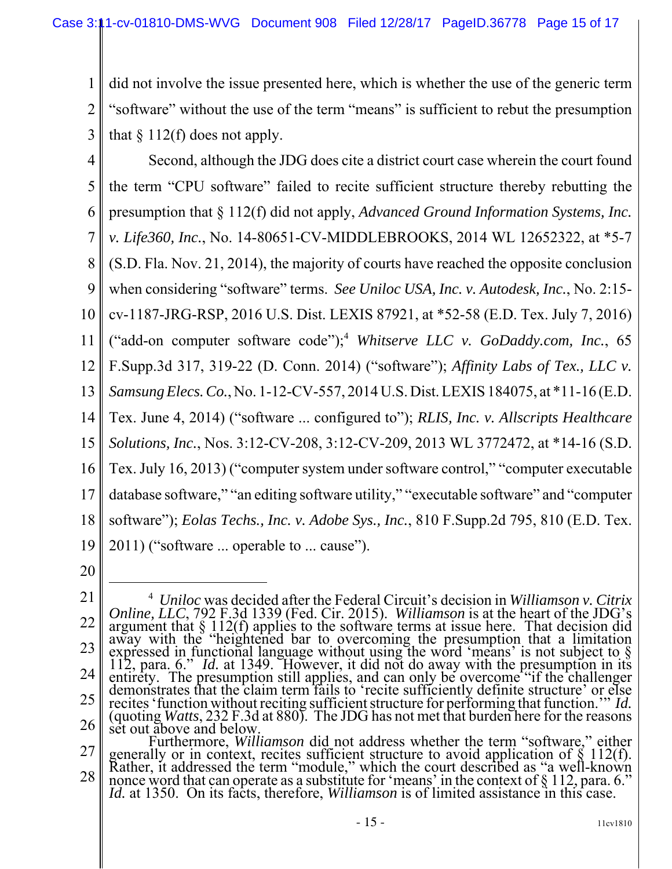1 2 3 did not involve the issue presented here, which is whether the use of the generic term "software" without the use of the term "means" is sufficient to rebut the presumption that  $\S 112(f)$  does not apply.

- 4 5 6 7 8 9 10 11 12 13 14 15 16 17 18 19 Second, although the JDG does cite a district court case wherein the court found the term "CPU software" failed to recite sufficient structure thereby rebutting the presumption that § 112(f) did not apply, *Advanced Ground Information Systems, Inc. v. Life360, Inc.*, No. 14-80651-CV-MIDDLEBROOKS, 2014 WL 12652322, at \*5-7 (S.D. Fla. Nov. 21, 2014), the majority of courts have reached the opposite conclusion when considering "software" terms. *See Uniloc USA, Inc. v. Autodesk, Inc.*, No. 2:15 cv-1187-JRG-RSP, 2016 U.S. Dist. LEXIS 87921, at \*52-58 (E.D. Tex. July 7, 2016) ("add-on computer software code");4 *Whitserve LLC v. GoDaddy.com, Inc.*, 65 F.Supp.3d 317, 319-22 (D. Conn. 2014) ("software"); *Affinity Labs of Tex., LLC v. Samsung Elecs. Co.*, No. 1-12-CV-557, 2014 U.S. Dist. LEXIS 184075, at \*11-16 (E.D. Tex. June 4, 2014) ("software ... configured to"); *RLIS, Inc. v. Allscripts Healthcare Solutions, Inc.*, Nos. 3:12-CV-208, 3:12-CV-209, 2013 WL 3772472, at \*14-16 (S.D. Tex. July 16, 2013) ("computer system under software control," "computer executable database software," "an editing software utility," "executable software" and "computer software"); *Eolas Techs., Inc. v. Adobe Sys., Inc.*, 810 F.Supp.2d 795, 810 (E.D. Tex. 2011) ("software ... operable to ... cause").
- 20

<sup>21</sup> 22 23 24 25 26 4 *Uniloc* was decided after the Federal Circuit's decision in *Williamson v. Citrix Online, LLC*, 792 F.3d 1339 (Fed. Cir. 2015). *Williamson* is at the heart of the JDG's argument that § 112(f) applies to the software terms at issue here. That decision did away with the "heightened bar to overcoming the presumption that a limitation expressed in functional language without using the word 'means' is not subject to § 112, para. 6." *Id.* at 1349. However, it did not do away with the presumption in its 112, para. 6." Id. at 1349. However, it did not do away with the presumption in its entirety. The presumption still applies, and can only be overcome "if the challenger demonstrates that the claim term fails to 'recite su recites 'function without reciting sufficient structure for performing that function.'" *Id.* (quoting *Watts*, 232 F.3d at 880). The JDG has not met that burden here for the reasons set out above and below.

<sup>27</sup> 28 Furthermore, *Williamson* did not address whether the term "software," either<br>generally or in context, recites sufficient structure to avoid application of § 112(f).<br>Rather, it addressed the term "module," which the court nonce word that can operate as a substitute for 'means' in the context of § 112, para. 6." *Id.* at 1350. On its facts, therefore, *Williamson* is of limited assistance in this case.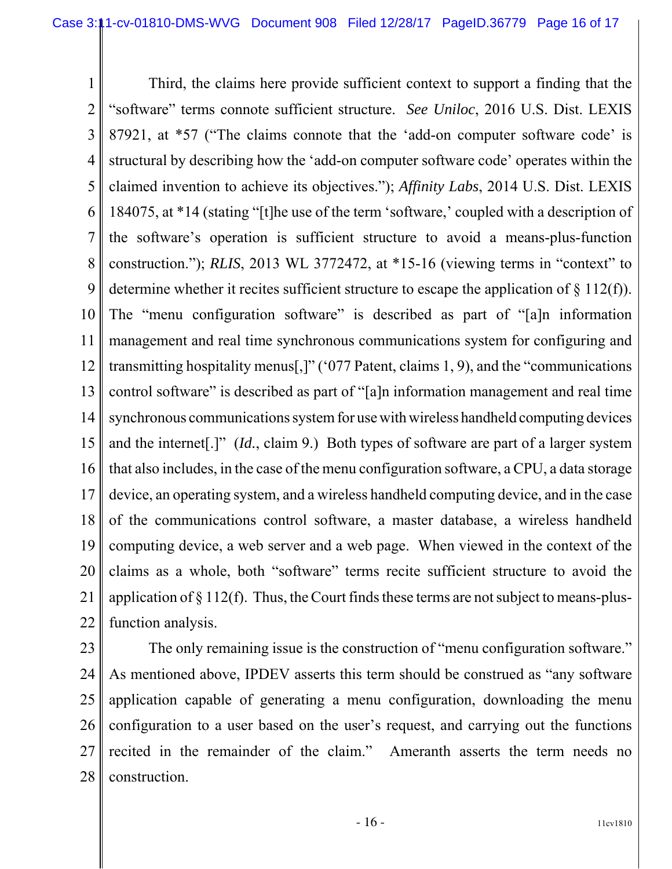1 2 3 4 5 6 7 8 9 10 11 12 13 14 15 16 17 18 19 20 21 22 Third, the claims here provide sufficient context to support a finding that the "software" terms connote sufficient structure. *See Uniloc*, 2016 U.S. Dist. LEXIS 87921, at \*57 ("The claims connote that the 'add-on computer software code' is structural by describing how the 'add-on computer software code' operates within the claimed invention to achieve its objectives."); *Affinity Labs*, 2014 U.S. Dist. LEXIS 184075, at \*14 (stating "[t]he use of the term 'software,' coupled with a description of the software's operation is sufficient structure to avoid a means-plus-function construction."); *RLIS*, 2013 WL 3772472, at \*15-16 (viewing terms in "context" to determine whether it recites sufficient structure to escape the application of § 112(f)). The "menu configuration software" is described as part of "[a]n information management and real time synchronous communications system for configuring and transmitting hospitality menus[,]" ('077 Patent, claims 1, 9), and the "communications control software" is described as part of "[a]n information management and real time synchronous communications system for use with wireless handheld computing devices and the internet[.]" (*Id.*, claim 9.) Both types of software are part of a larger system that also includes, in the case of the menu configuration software, a CPU, a data storage device, an operating system, and a wireless handheld computing device, and in the case of the communications control software, a master database, a wireless handheld computing device, a web server and a web page. When viewed in the context of the claims as a whole, both "software" terms recite sufficient structure to avoid the application of  $\S 112(f)$ . Thus, the Court finds these terms are not subject to means-plusfunction analysis.

23 24 25 26 27 28 The only remaining issue is the construction of "menu configuration software." As mentioned above, IPDEV asserts this term should be construed as "any software application capable of generating a menu configuration, downloading the menu configuration to a user based on the user's request, and carrying out the functions recited in the remainder of the claim." Ameranth asserts the term needs no construction.